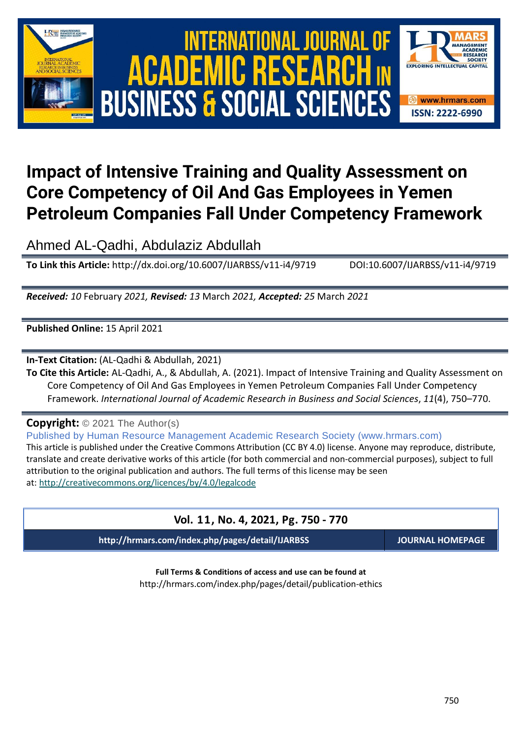

# International Journal of Academic Research in Business and Social Sciences **Vol. 1 1 , No. 4, 2021, E-ISSN: 2222-6990 © 2021 HRMARS ACADEMIC BUSINESS & SOCIAL SCIENCES**



# **Impact of Intensive Training and Quality Assessment on Core Competency of Oil And Gas Employees in Yemen Petroleum Companies Fall Under Competency Framework**

Ahmed AL-Qadhi, Abdulaziz Abdullah

**To Link this Article:** http://dx.doi.org/10.6007/IJARBSS/v11-i4/9719 DOI:10.6007/IJARBSS/v11-i4/9719

*Received: 10* February *2021, Revised: 13* March *2021, Accepted: 25* March *2021*

**Published Online:** 15 April 2021

**In-Text Citation:** (AL-Qadhi & Abdullah, 2021)

**To Cite this Article:** AL-Qadhi, A., & Abdullah, A. (2021). Impact of Intensive Training and Quality Assessment on Core Competency of Oil And Gas Employees in Yemen Petroleum Companies Fall Under Competency Framework. *International Journal of Academic Research in Business and Social Sciences*, *11*(4), 750–770.

**Copyright:** © 2021 The Author(s)

Published by Human Resource Management Academic Research Society (www.hrmars.com) This article is published under the Creative Commons Attribution (CC BY 4.0) license. Anyone may reproduce, distribute, translate and create derivative works of this article (for both commercial and non-commercial purposes), subject to full attribution to the original publication and authors. The full terms of this license may be seen at: <http://creativecommons.org/licences/by/4.0/legalcode>

# **Vol. 11, No. 4, 2021, Pg. 750 - 770**

**http://hrmars.com/index.php/pages/detail/IJARBSS JOURNAL HOMEPAGE**

**Full Terms & Conditions of access and use can be found at** http://hrmars.com/index.php/pages/detail/publication-ethics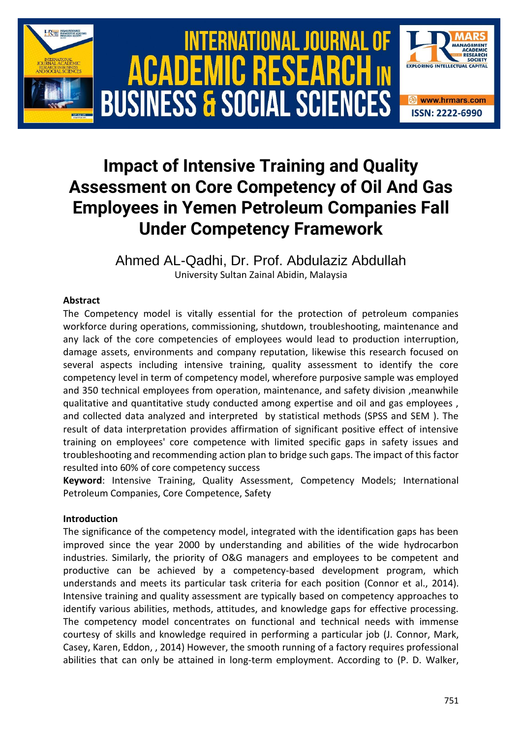

# **Impact of Intensive Training and Quality Assessment on Core Competency of Oil And Gas Employees in Yemen Petroleum Companies Fall Under Competency Framework**

Ahmed AL-Qadhi, Dr. Prof. Abdulaziz Abdullah University Sultan Zainal Abidin, Malaysia

# **Abstract**

The Competency model is vitally essential for the protection of petroleum companies workforce during operations, commissioning, shutdown, troubleshooting, maintenance and any lack of the core competencies of employees would lead to production interruption, damage assets, environments and company reputation, likewise this research focused on several aspects including intensive training, quality assessment to identify the core competency level in term of competency model, wherefore purposive sample was employed and 350 technical employees from operation, maintenance, and safety division ,meanwhile qualitative and quantitative study conducted among expertise and oil and gas employees , and collected data analyzed and interpreted by statistical methods (SPSS and SEM ). The result of data interpretation provides affirmation of significant positive effect of intensive training on employees' core competence with limited specific gaps in safety issues and troubleshooting and recommending action plan to bridge such gaps. The impact of this factor resulted into 60% of core competency success

**Keyword**: Intensive Training, Quality Assessment, Competency Models; International Petroleum Companies, Core Competence, Safety

# **Introduction**

The significance of the competency model, integrated with the identification gaps has been improved since the year 2000 by understanding and abilities of the wide hydrocarbon industries. Similarly, the priority of O&G managers and employees to be competent and productive can be achieved by a competency-based development program, which understands and meets its particular task criteria for each position (Connor [et al., 2014\)](#page-16-0). Intensive training and quality assessment are typically based on competency approaches to identify various abilities, methods, attitudes, and knowledge gaps for effective processing. The competency model concentrates on functional and technical needs with immense courtesy of skills and knowledge required in performing a particular job [\(J. Connor, Mark,](#page-16-0)  [Casey, Karen, Eddon, , 2014\)](#page-16-0) However, the smooth running of a factory requires professional abilities that can only be attained in long-term employment. According to [\(P. D. Walker,](#page-19-0)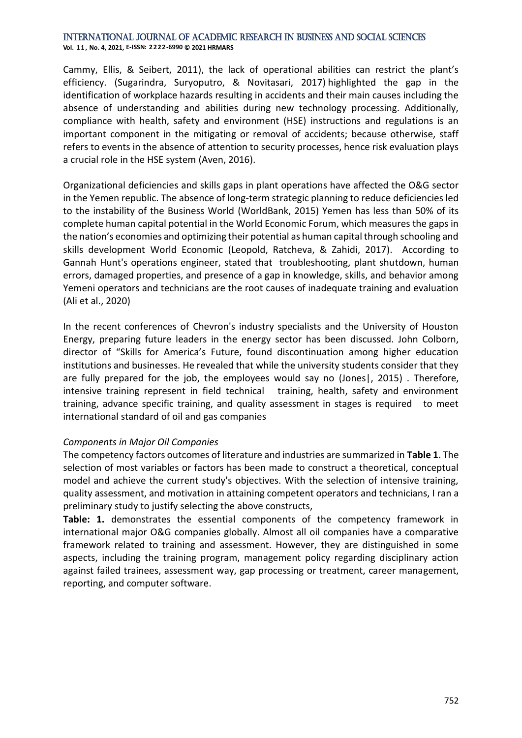[Cammy, Ellis, & Seibert, 2011\)](#page-19-0), the lack of operational abilities can restrict the plant's efficiency. [\(Sugarindra, Suryoputro, & Novitasari, 2017\)](#page-19-1) highlighted the gap in the identification of workplace hazards resulting in accidents and their main causes including the absence of understanding and abilities during new technology processing. Additionally, compliance with health, safety and environment (HSE) instructions and regulations is an important component in the mitigating or removal of accidents; because otherwise, staff refers to events in the absence of attention to security processes, hence risk evaluation plays a crucial role in the HSE system [\(Aven, 2016\)](#page-16-1).

Organizational deficiencies and skills gaps in plant operations have affected the O&G sector in the Yemen republic. The absence of long-term strategic planning to reduce deficiencies led to the instability of the Business World [\(WorldBank, 2015\)](#page-20-0) Yemen has less than 50% of its complete human capital potential in the World Economic Forum, which measures the gaps in the nation's economies and optimizing their potential as human capital through schooling and skills development World Economic [\(Leopold, Ratcheva, & Zahidi, 2017\)](#page-18-0). According to Gannah Hunt's operations engineer, stated that troubleshooting, plant shutdown, human errors, damaged properties, and presence of a gap in knowledge, skills, and behavior among Yemeni operators and technicians are the root causes of inadequate training and evaluation [\(Ali et al., 2020\)](#page-16-2)

In the recent conferences of Chevron's industry specialists and the University of Houston Energy, preparing future leaders in the energy sector has been discussed. John Colborn, director of "Skills for America's Future, found discontinuation among higher education institutions and businesses. He revealed that while the university students consider that they are fully prepared for the job, the employees would say no [\(Jones|, 2015\)](#page-17-0) . Therefore, intensive training represent in field technical training, health, safety and environment training, advance specific training, and quality assessment in stages is required to meet international standard of oil and gas companies

#### *Components in Major Oil Companies*

The competency factors outcomes of literature and industries are summarized in **Table 1**. The selection of most variables or factors has been made to construct a theoretical, conceptual model and achieve the current study's objectives. With the selection of intensive training, quality assessment, and motivation in attaining competent operators and technicians, I ran a preliminary study to justify selecting the above constructs,

**Table: 1.** demonstrates the essential components of the competency framework in international major O&G companies globally. Almost all oil companies have a comparative framework related to training and assessment. However, they are distinguished in some aspects, including the training program, management policy regarding disciplinary action against failed trainees, assessment way, gap processing or treatment, career management, reporting, and computer software.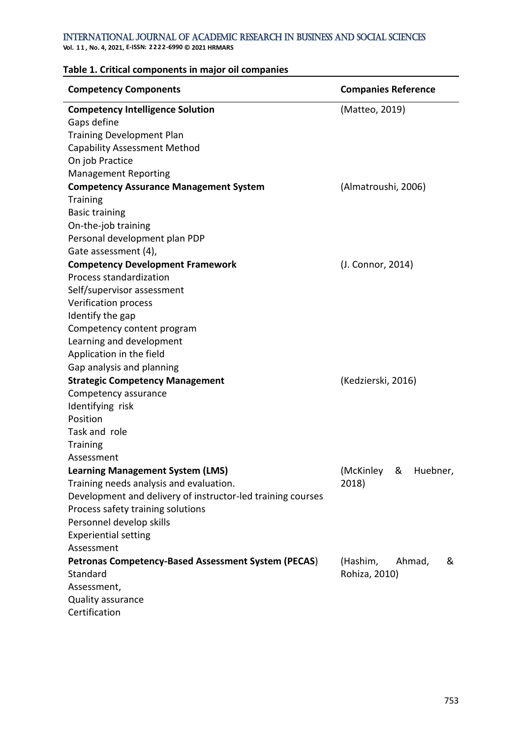**Vol. 1 1 , No. 4, 2021, E-ISSN: 2222-6990 © 2021 HRMARS**

#### **Table 1. Critical components in major oil companies**

| <b>Competency Components</b>                                | <b>Companies Reference</b> |  |  |  |  |  |  |  |
|-------------------------------------------------------------|----------------------------|--|--|--|--|--|--|--|
| <b>Competency Intelligence Solution</b>                     | (Matteo, 2019)             |  |  |  |  |  |  |  |
| Gaps define                                                 |                            |  |  |  |  |  |  |  |
| <b>Training Development Plan</b>                            |                            |  |  |  |  |  |  |  |
| <b>Capability Assessment Method</b>                         |                            |  |  |  |  |  |  |  |
| On job Practice                                             |                            |  |  |  |  |  |  |  |
| <b>Management Reporting</b>                                 |                            |  |  |  |  |  |  |  |
| <b>Competency Assurance Management System</b>               | (Almatroushi, 2006)        |  |  |  |  |  |  |  |
| <b>Training</b>                                             |                            |  |  |  |  |  |  |  |
| <b>Basic training</b>                                       |                            |  |  |  |  |  |  |  |
| On-the-job training                                         |                            |  |  |  |  |  |  |  |
| Personal development plan PDP                               |                            |  |  |  |  |  |  |  |
| Gate assessment (4),                                        |                            |  |  |  |  |  |  |  |
| <b>Competency Development Framework</b>                     | (J. Connor, 2014)          |  |  |  |  |  |  |  |
| Process standardization                                     |                            |  |  |  |  |  |  |  |
| Self/supervisor assessment                                  |                            |  |  |  |  |  |  |  |
| <b>Verification process</b>                                 |                            |  |  |  |  |  |  |  |
| Identify the gap                                            |                            |  |  |  |  |  |  |  |
| Competency content program                                  |                            |  |  |  |  |  |  |  |
| Learning and development                                    |                            |  |  |  |  |  |  |  |
| Application in the field                                    |                            |  |  |  |  |  |  |  |
| Gap analysis and planning                                   |                            |  |  |  |  |  |  |  |
| <b>Strategic Competency Management</b>                      | (Kedzierski, 2016)         |  |  |  |  |  |  |  |
| Competency assurance                                        |                            |  |  |  |  |  |  |  |
| Identifying risk                                            |                            |  |  |  |  |  |  |  |
| Position                                                    |                            |  |  |  |  |  |  |  |
| Task and role                                               |                            |  |  |  |  |  |  |  |
| <b>Training</b>                                             |                            |  |  |  |  |  |  |  |
| Assessment                                                  |                            |  |  |  |  |  |  |  |
| <b>Learning Management System (LMS)</b>                     | &<br>(McKinley<br>Huebner, |  |  |  |  |  |  |  |
| Training needs analysis and evaluation.                     | 2018)                      |  |  |  |  |  |  |  |
| Development and delivery of instructor-led training courses |                            |  |  |  |  |  |  |  |
| Process safety training solutions                           |                            |  |  |  |  |  |  |  |
| Personnel develop skills                                    |                            |  |  |  |  |  |  |  |
| <b>Experiential setting</b>                                 |                            |  |  |  |  |  |  |  |
| Assessment                                                  |                            |  |  |  |  |  |  |  |
| <b>Petronas Competency-Based Assessment System (PECAS)</b>  | (Hashim,<br>Ahmad,<br>&    |  |  |  |  |  |  |  |
| Standard                                                    | Rohiza, 2010)              |  |  |  |  |  |  |  |
| Assessment,                                                 |                            |  |  |  |  |  |  |  |
| Quality assurance                                           |                            |  |  |  |  |  |  |  |
| Certification                                               |                            |  |  |  |  |  |  |  |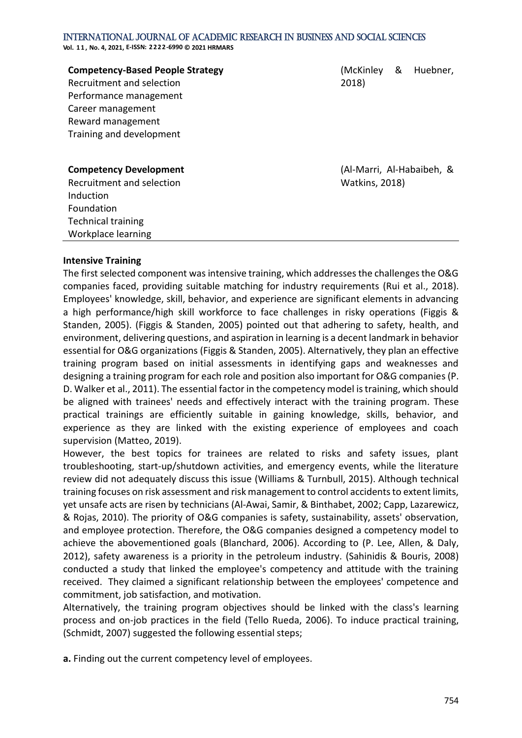**Vol. 1 1 , No. 4, 2021, E-ISSN: 2222-6990 © 2021 HRMARS**

| <b>Competency-Based People Strategy</b> |
|-----------------------------------------|
| Recruitment and selection               |
| Performance management                  |
| Career management                       |
| Reward management                       |
| Training and development                |
|                                         |

[\(McKinley & Huebner,](#page-18-2)  [2018\)](#page-18-2)

**Competency Development**

Recruitment and selection Induction Foundation Technical training Workplace learning

[\(Al-Marri, Al-Habaibeh, &](#page-15-0)  [Watkins, 2018\)](#page-15-0)

### **Intensive Training**

The first selected component was intensive training, which addresses the challenges the O&G companies faced, providing suitable matching for industry requirements [\(Rui et al., 2018\)](#page-19-2). Employees' knowledge, skill, behavior, and experience are significant elements in advancing a high performance/high skill workforce to face challenges in risky operations [\(Figgis &](#page-17-3)  [Standen, 2005\)](#page-17-3). [\(Figgis & Standen, 2005\)](#page-17-3) pointed out that adhering to safety, health, and environment, delivering questions, and aspiration in learning is a decent landmark in behavior essential for O&G organizations [\(Figgis & Standen, 2005\)](#page-17-3). Alternatively, they plan an effective training program based on initial assessments in identifying gaps and weaknesses and designing a training program for each role and position also important for O&G companies [\(P.](#page-19-0)  [D. Walker et al., 2011\)](#page-19-0). The essential factor in the competency model is training, which should be aligned with trainees' needs and effectively interact with the training program. These practical trainings are efficiently suitable in gaining knowledge, skills, behavior, and experience as they are linked with the existing experience of employees and coach supervision [\(Matteo, 2019\)](#page-18-1).

However, the best topics for trainees are related to risks and safety issues, plant troubleshooting, start-up/shutdown activities, and emergency events, while the literature review did not adequately discuss this issue [\(Williams & Turnbull, 2015\)](#page-20-1). Although technical training focuses on risk assessment and risk management to control accidents to extent limits, yet unsafe acts are risen by technicians [\(Al-Awai, Samir, & Binthabet, 2002;](#page-15-1) [Capp, Lazarewicz,](#page-16-5)  [& Rojas, 2010\)](#page-16-5). The priority of O&G companies is safety, sustainability, assets' observation, and employee protection. Therefore, the O&G companies designed a competency model to achieve the abovementioned goals [\(Blanchard, 2006\)](#page-16-6). According to [\(P. Lee, Allen, & Daly,](#page-18-3)  [2012\)](#page-18-3), safety awareness is a priority in the petroleum industry. [\(Sahinidis & Bouris, 2008\)](#page-19-3) conducted a study that linked the employee's competency and attitude with the training received. They claimed a significant relationship between the employees' competence and commitment, job satisfaction, and motivation.

Alternatively, the training program objectives should be linked with the class's learning process and on-job practices in the field [\(Tello Rueda, 2006\)](#page-19-4). To induce practical training, [\(Schmidt, 2007\)](#page-19-5) suggested the following essential steps;

**a.** Finding out the current competency level of employees.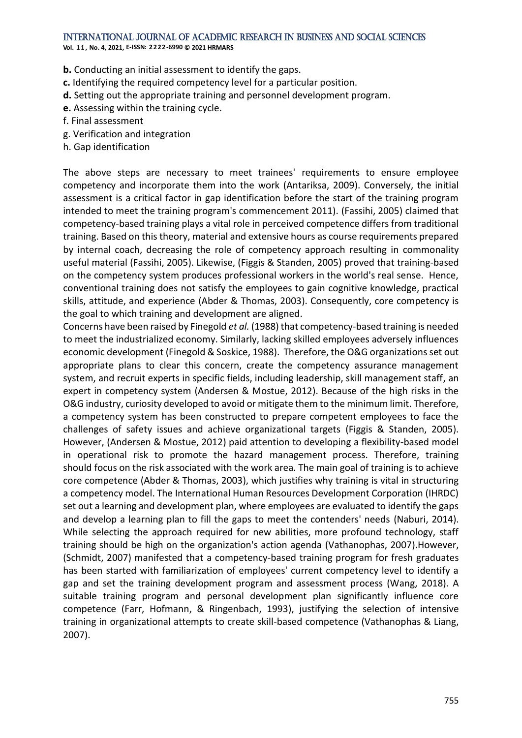**Vol. 1 1 , No. 4, 2021, E-ISSN: 2222-6990 © 2021 HRMARS**

**b.** Conducting an initial assessment to identify the gaps.

- **c.** Identifying the required competency level for a particular position.
- **d.** Setting out the appropriate training and personnel development program.
- **e.** Assessing within the training cycle.
- f. Final assessment
- g. Verification and integration
- h. Gap identification

The above steps are necessary to meet trainees' requirements to ensure employee competency and incorporate them into the work [\(Antariksa, 2009\)](#page-16-7). Conversely, the initial assessment is a critical factor in gap identification before the start of the training program intended to meet the training program's commencement 2011). [\(Fassihi, 2005\)](#page-17-4) claimed that competency-based training plays a vital role in perceived competence differs from traditional training. Based on this theory, material and extensive hours as course requirements prepared by internal coach, decreasing the role of competency approach resulting in commonality useful material [\(Fassihi, 2005\)](#page-17-4). Likewise, [\(Figgis & Standen, 2005\)](#page-17-3) proved that training-based on the competency system produces professional workers in the world's real sense. Hence, conventional training does not satisfy the employees to gain cognitive knowledge, practical skills, attitude, and experience [\(Abder & Thomas, 2003\)](#page-15-2). Consequently, core competency is the goal to which training and development are aligned.

Concerns have been raised by Finegold *et al.* (1988) that competency-based training is needed to meet the industrialized economy. Similarly, lacking skilled employees adversely influences economic development [\(Finegold & Soskice, 1988\)](#page-17-5). Therefore, the O&G organizations set out appropriate plans to clear this concern, create the competency assurance management system, and recruit experts in specific fields, including leadership, skill management staff, an expert in competency system [\(Andersen & Mostue, 2012\)](#page-16-8). Because of the high risks in the O&G industry, curiosity developed to avoid or mitigate them to the minimum limit. Therefore, a competency system has been constructed to prepare competent employees to face the challenges of safety issues and achieve organizational targets [\(Figgis & Standen, 2005\)](#page-17-3). However, [\(Andersen & Mostue, 2012\)](#page-16-8) paid attention to developing a flexibility-based model in operational risk to promote the hazard management process. Therefore, training should focus on the risk associated with the work area. The main goal of training is to achieve core competence [\(Abder & Thomas, 2003\)](#page-15-2), which justifies why training is vital in structuring a competency model. The International Human Resources Development Corporation (IHRDC) set out a learning and development plan, where employees are evaluated to identify the gaps and develop a learning plan to fill the gaps to meet the contenders' needs [\(Naburi, 2014\)](#page-18-4). While selecting the approach required for new abilities, more profound technology, staff training should be high on the organization's action agenda [\(Vathanophas, 2007\)](#page-19-6).However, [\(Schmidt, 2007\)](#page-19-5) manifested that a competency-based training program for fresh graduates has been started with familiarization of employees' current competency level to identify a gap and set the training development program and assessment process [\(Wang, 2018\)](#page-19-7). A suitable training program and personal development plan significantly influence core competence [\(Farr, Hofmann, & Ringenbach, 1993\)](#page-16-9), justifying the selection of intensive training in organizational attempts to create skill-based competence [\(Vathanophas & Liang,](#page-19-8)  [2007\)](#page-19-8).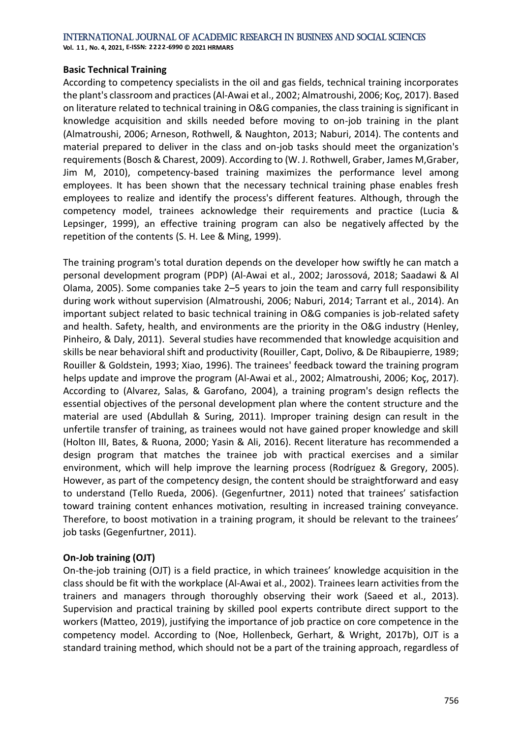**Vol. 1 1 , No. 4, 2021, E-ISSN: 2222-6990 © 2021 HRMARS**

#### **Basic Technical Training**

According to competency specialists in the oil and gas fields, technical training incorporates the plant's classroom and practices [\(Al-Awai et al., 2002;](#page-15-1) [Almatroushi, 2006;](#page-16-3) [Koç, 2017\)](#page-17-6). Based on literature related to technical training in O&G companies, the class training is significant in knowledge acquisition and skills needed before moving to on-job training in the plant [\(Almatroushi, 2006;](#page-16-3) [Arneson, Rothwell, & Naughton, 2013;](#page-16-10) [Naburi, 2014\)](#page-18-4). The contents and material prepared to deliver in the class and on-job tasks should meet the organization's requirements [\(Bosch & Charest, 2009\)](#page-16-11). According to [\(W. J. Rothwell, Graber, James M,Graber,](#page-18-5)  [Jim M, 2010\)](#page-18-5), competency-based training maximizes the performance level among employees. It has been shown that the necessary technical training phase enables fresh employees to realize and identify the process's different features. Although, through the competency model, trainees acknowledge their requirements and practice [\(Lucia &](#page-18-6)  [Lepsinger, 1999\)](#page-18-6), an effective training program can also be negatively affected by the repetition of the contents [\(S. H. Lee & Ming, 1999\)](#page-18-7).

The training program's total duration depends on the developer how swiftly he can match a personal development program (PDP) [\(Al-Awai et al., 2002;](#page-15-1) [Jarossová, 2018;](#page-17-7) [Saadawi & Al](#page-19-9)  [Olama, 2005\)](#page-19-9). Some companies take 2–5 years to join the team and carry full responsibility during work without supervision [\(Almatroushi, 2006;](#page-16-3) [Naburi, 2014;](#page-18-4) [Tarrant et al., 2014\)](#page-19-10). An important subject related to basic technical training in O&G companies is job-related safety and health. Safety, health, and environments are the priority in the O&G industry [\(Henley,](#page-17-8)  [Pinheiro, & Daly, 2011\)](#page-17-8). Several studies have recommended that knowledge acquisition and skills be near behavioral shift and productivity [\(Rouiller, Capt, Dolivo, & De Ribaupierre, 1989;](#page-19-11) [Rouiller & Goldstein, 1993;](#page-19-12) [Xiao, 1996\)](#page-20-2). The trainees' feedback toward the training program helps update and improve the program [\(Al-Awai et al., 2002;](#page-15-1) [Almatroushi, 2006;](#page-16-3) [Koç, 2017\)](#page-17-6). According to [\(Alvarez, Salas, & Garofano, 2004\)](#page-16-12), a training program's design reflects the essential objectives of the personal development plan where the content structure and the material are used [\(Abdullah & Suring, 2011\)](#page-15-3). Improper training design can result in the unfertile transfer of training, as trainees would not have gained proper knowledge and skill [\(Holton III, Bates, & Ruona, 2000;](#page-17-9) [Yasin & Ali, 2016\)](#page-20-3). Recent literature has recommended a design program that matches the trainee job with practical exercises and a similar environment, which will help improve the learning process [\(Rodríguez & Gregory, 2005\)](#page-18-8). However, as part of the competency design, the content should be straightforward and easy to understand [\(Tello Rueda, 2006\)](#page-19-4). [\(Gegenfurtner, 2011\)](#page-17-10) noted that trainees' satisfaction toward training content enhances motivation, resulting in increased training conveyance. Therefore, to boost motivation in a training program, it should be relevant to the trainees' job tasks [\(Gegenfurtner, 2011\)](#page-17-10).

# **On-Job training (OJT)**

On-the-job training (OJT) is a field practice, in which trainees' knowledge acquisition in the class should be fit with the workplace [\(Al-Awai et al., 2002\)](#page-15-1). Trainees learn activities from the trainers and managers through thoroughly observing their work [\(Saeed et al., 2013\)](#page-19-13). Supervision and practical training by skilled pool experts contribute direct support to the workers [\(Matteo, 2019\)](#page-18-1), justifying the importance of job practice on core competence in the competency model. According to [\(Noe, Hollenbeck, Gerhart, & Wright, 2017b\)](#page-18-9), OJT is a standard training method, which should not be a part of the training approach, regardless of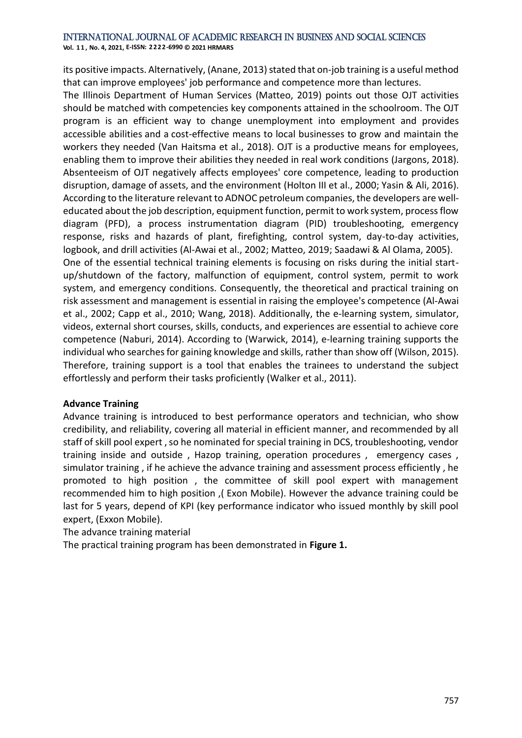**Vol. 1 1 , No. 4, 2021, E-ISSN: 2222-6990 © 2021 HRMARS**

its positive impacts. Alternatively, [\(Anane, 2013\)](#page-16-13) stated that on-job training is a useful method that can improve employees' job performance and competence more than lectures.

The Illinois Department of Human Services [\(Matteo, 2019\)](#page-18-1) points out those OJT activities should be matched with competencies key components attained in the schoolroom. The OJT program is an efficient way to change unemployment into employment and provides accessible abilities and a cost-effective means to local businesses to grow and maintain the workers they needed [\(Van Haitsma et al., 2018\)](#page-19-14). OJT is a productive means for employees, enabling them to improve their abilities they needed in real work conditions [\(Jargons, 2018\)](#page-17-11). Absenteeism of OJT negatively affects employees' core competence, leading to production disruption, damage of assets, and the environment [\(Holton III et al., 2000;](#page-17-9) [Yasin & Ali, 2016\)](#page-20-3). According to the literature relevant to ADNOC petroleum companies, the developers are welleducated about the job description, equipment function, permit to work system, process flow diagram (PFD), a process instrumentation diagram (PID) troubleshooting, emergency response, risks and hazards of plant, firefighting, control system, day-to-day activities, logbook, and drill activities [\(Al-Awai et al., 2002;](#page-15-1) [Matteo, 2019;](#page-18-1) [Saadawi & Al Olama, 2005\)](#page-19-9). One of the essential technical training elements is focusing on risks during the initial startup/shutdown of the factory, malfunction of equipment, control system, permit to work system, and emergency conditions. Consequently, the theoretical and practical training on risk assessment and management is essential in raising the employee's competence [\(Al-Awai](#page-15-1)  [et al., 2002;](#page-15-1) [Capp et al., 2010;](#page-16-5) [Wang, 2018\)](#page-19-7). Additionally, the e-learning system, simulator, videos, external short courses, skills, conducts, and experiences are essential to achieve core competence [\(Naburi, 2014\)](#page-18-4). According to [\(Warwick, 2014\)](#page-19-15), e-learning training supports the individual who searches for gaining knowledge and skills, rather than show off [\(Wilson, 2015\)](#page-20-4). Therefore, training support is a tool that enables the trainees to understand the subject effortlessly and perform their tasks proficiently [\(Walker et al., 2011\)](#page-19-0).

#### **Advance Training**

Advance training is introduced to best performance operators and technician, who show credibility, and reliability, covering all material in efficient manner, and recommended by all staff of skill pool expert , so he nominated for special training in DCS, troubleshooting, vendor training inside and outside , Hazop training, operation procedures , emergency cases , simulator training , if he achieve the advance training and assessment process efficiently , he promoted to high position , the committee of skill pool expert with management recommended him to high position ,( Exon Mobile). However the advance training could be last for 5 years, depend of KPI (key performance indicator who issued monthly by skill pool expert, (Exxon Mobile).

The advance training material

The practical training program has been demonstrated in **Figure 1.**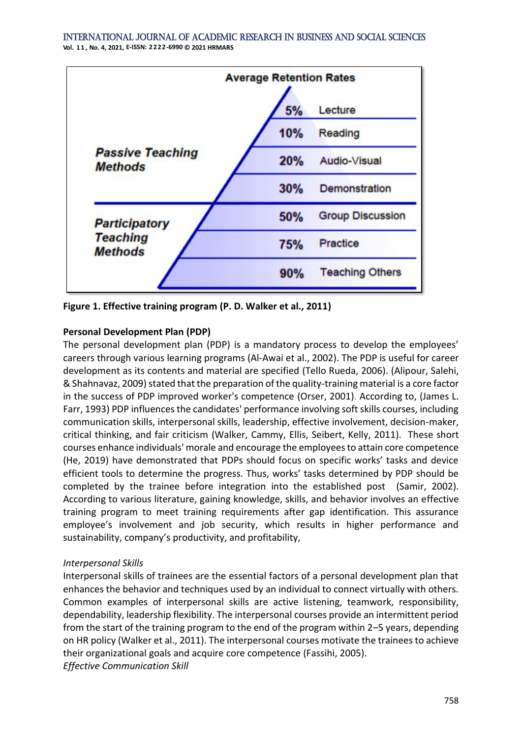

**Figure 1. Effective training program [\(P. D. Walker et al., 2011\)](#page-19-0)**

### **Personal Development Plan (PDP)**

The personal development plan (PDP) is a mandatory process to develop the employees' careers through various learning programs [\(Al-Awai et al., 2002\)](#page-15-1). The PDP is useful for career development as its contents and material are specified [\(Tello Rueda, 2006\)](#page-19-4). [\(Alipour, Salehi,](#page-16-14)  [& Shahnavaz, 2009\)](#page-16-14) stated that the preparation of the quality-training material is a core factor in the success of PDP improved worker's competence [\(Orser, 2001\)](#page-18-10). According to, [\(James L.](#page-17-12)  [Farr, 1993\)](#page-17-12) PDP influences the candidates' performance involving soft skills courses, including communication skills, interpersonal skills, leadership, effective involvement, decision-maker, critical thinking, and fair criticism (Walker, Cammy, Ellis, Seibert, Kelly, 2011). These short courses enhance individuals' morale and encourage the employees to attain core competence (He, 2019) have demonstrated that PDPs should focus on specific works' tasks and device efficient tools to determine the progress. Thus, works' tasks determined by PDP should be completed by the trainee before integration into the established post (Samir, 2002). According to various literature, gaining knowledge, skills, and behavior involves an effective training program to meet training requirements after gap identification. This assurance employee's involvement and job security, which results in higher performance and sustainability, company's productivity, and profitability,

#### *Interpersonal Skills*

Interpersonal skills of trainees are the essential factors of a personal development plan that enhances the behavior and techniques used by an individual to connect virtually with others. Common examples of interpersonal skills are active listening, teamwork, responsibility, dependability, leadership flexibility. The interpersonal courses provide an intermittent period from the start of the training program to the end of the program within 2–5 years, depending on HR policy (Walker et al., 2011). The interpersonal courses motivate the trainees to achieve their organizational goals and acquire core competence [\(Fassihi, 2005\)](#page-17-4). *Effective Communication Skill*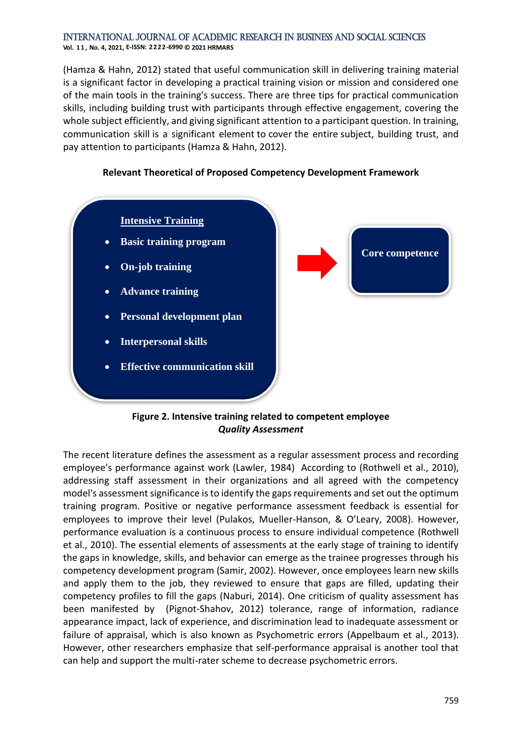(Hamza & Hahn, 2012) stated that useful communication skill in delivering training material is a significant factor in developing a practical training vision or mission and considered one of the main tools in the training's success. There are three tips for practical communication skills, including building trust with participants through effective engagement, covering the whole subject efficiently, and giving significant attention to a participant question. In training, communication skill is a significant element to cover the entire subject, building trust, and pay attention to participants (Hamza & Hahn, 2012).



### **Relevant Theoretical of Proposed Competency Development Framework**

#### **Figure 2. Intensive training related to competent employee** *Quality Assessment*

The recent literature defines the assessment as a regular assessment process and recording employee's performance against work [\(Lawler, 1984\)](#page-17-13) According to [\(Rothwell](#page-18-5) et al., 2010), addressing staff assessment in their organizations and all agreed with the competency model's assessment significance is to identify the gaps requirements and set out the optimum training program. Positive or negative performance assessment feedback is essential for employees to improve their level (Pulakos, Mueller-[Hanson, & O'Leary, 2008](#page-18-11)). However, performance evaluation is a continuous process to ensure individual competence [\(Rothwell](#page-18-5) [et al., 2010\)](#page-18-5). The essential elements of assessments at the early stage of training to identify the gaps in knowledge, skills, and behavior can emerge as the trainee progresses through his competency development program (Samir, 2002). However, once employees learn new skills and apply them to the job, they reviewed to ensure that gaps are filled, updating their competency profiles to fill the gaps [\(Naburi, 2014\)](#page-18-4). One criticism of quality assessment has been manifested by [\(Pignot-Shahov, 2012\)](#page-18-12) tolerance, range of information, radiance appearance impact, lack of experience, and discrimination lead to inadequate assessment or failure of appraisal, which is also known as Psychometric errors [\(Appelbaum et al., 2013\)](#page-16-15). However, other researchers emphasize that self-performance appraisal is another tool that can help and support the multi-rater scheme to decrease psychometric errors.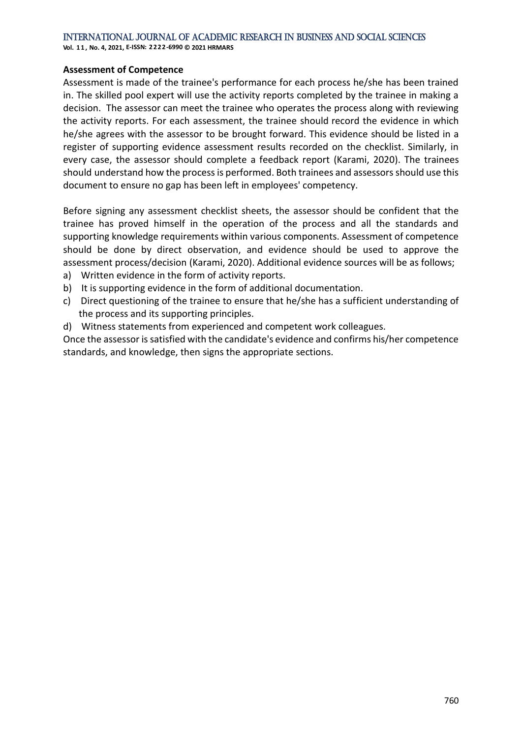**Vol. 1 1 , No. 4, 2021, E-ISSN: 2222-6990 © 2021 HRMARS**

#### **Assessment of Competence**

Assessment is made of the trainee's performance for each process he/she has been trained in. The skilled pool expert will use the activity reports completed by the trainee in making a decision. The assessor can meet the trainee who operates the process along with reviewing the activity reports. For each assessment, the trainee should record the evidence in which he/she agrees with the assessor to be brought forward. This evidence should be listed in a register of supporting evidence assessment results recorded on the checklist. Similarly, in every case, the assessor should complete a feedback report [\(Karami, 2020\)](#page-17-14). The trainees should understand how the process is performed. Both trainees and assessors should use this document to ensure no gap has been left in employees' competency.

Before signing any assessment checklist sheets, the assessor should be confident that the trainee has proved himself in the operation of the process and all the standards and supporting knowledge requirements within various components. Assessment of competence should be done by direct observation, and evidence should be used to approve the assessment process/decision [\(Karami, 2020\)](#page-17-14). Additional evidence sources will be as follows;

- a) Written evidence in the form of activity reports.
- b) It is supporting evidence in the form of additional documentation.
- c) Direct questioning of the trainee to ensure that he/she has a sufficient understanding of the process and its supporting principles.
- d) Witness statements from experienced and competent work colleagues.

Once the assessor is satisfied with the candidate's evidence and confirms his/her competence standards, and knowledge, then signs the appropriate sections.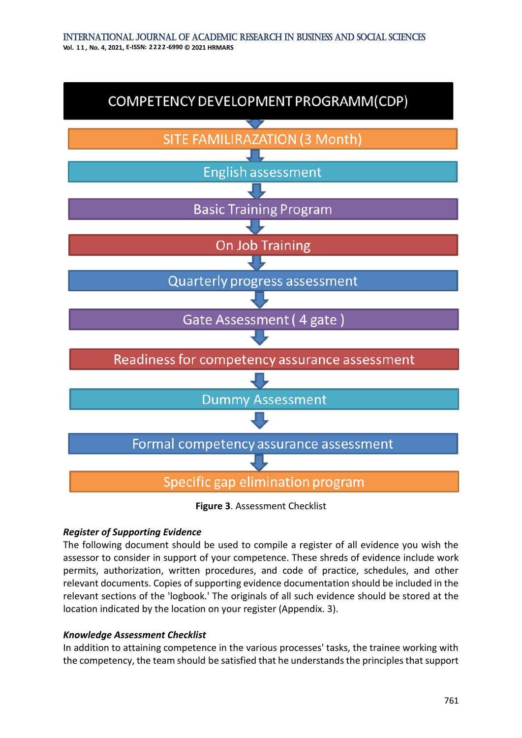

**Figure 3**. Assessment Checklist

#### *Register of Supporting Evidence*

The following document should be used to compile a register of all evidence you wish the assessor to consider in support of your competence. These shreds of evidence include work permits, authorization, written procedures, and code of practice, schedules, and other relevant documents. Copies of supporting evidence documentation should be included in the relevant sections of the 'logbook.' The originals of all such evidence should be stored at the location indicated by the location on your register (Appendix. 3).

#### *Knowledge Assessment Checklist*

In addition to attaining competence in the various processes' tasks, the trainee working with the competency, the team should be satisfied that he understands the principles that support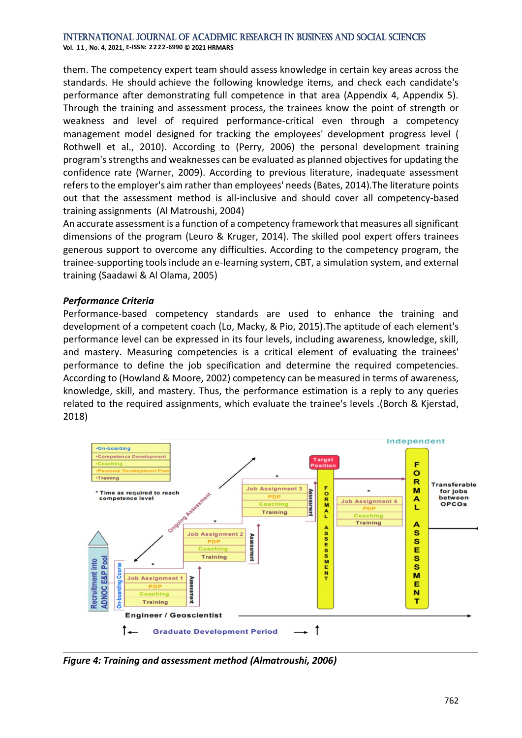**Vol. 1 1 , No. 4, 2021, E-ISSN: 2222-6990 © 2021 HRMARS**

them. The competency expert team should assess knowledge in certain key areas across the standards. He should achieve the following knowledge items, and check each candidate's performance after demonstrating full competence in that area (Appendix 4, Appendix 5). Through the training and assessment process, the trainees know the point of strength or weakness and level of required performance-critical even through a competency management model designed for tracking the employees' development progress level [\(](#page-18-5) Rothwell [et al., 2010\)](#page-18-5). According to [\(Perry, 2006\)](#page-18-13) the personal development training program's strengths and weaknesses can be evaluated as planned objectives for updating the confidence rate [\(Warner, 2009\)](#page-19-16). According to previous literature, inadequate assessment refers to the employer's aim rather than employees' needs (Bates, 2014).The literature points out that the assessment method is all-inclusive and should cover all competency-based training assignments [\(Al Matroushi, 2004\)](#page-15-4)

An accurate assessment is a function of a competency framework that measures all significant dimensions of the program [\(Leuro & Kruger, 2014\)](#page-18-14). The skilled pool expert offers trainees generous support to overcome any difficulties. According to the competency program, the trainee-supporting tools include an e-learning system, CBT, a simulation system, and external training [\(Saadawi & Al Olama, 2005\)](#page-19-9)

#### *Performance Criteria*

Performance-based competency standards are used to enhance the training and development of a competent coach [\(Lo, Macky, & Pio, 2015\)](#page-18-15).The aptitude of each element's performance level can be expressed in its four levels, including awareness, knowledge, skill, and mastery. Measuring competencies is a critical element of evaluating the trainees' performance to define the job specification and determine the required competencies. According to [\(Howland & Moore, 2002\)](#page-17-15) competency can be measured in terms of awareness, knowledge, skill, and mastery. Thus, the performance estimation is a reply to any queries related to the required assignments, which evaluate the trainee's levels .[\(Borch & Kjerstad,](#page-16-16)  [2018\)](#page-16-16)



*Figure 4: Training and assessment method [\(Almatroushi, 2006\)](#page-16-3)*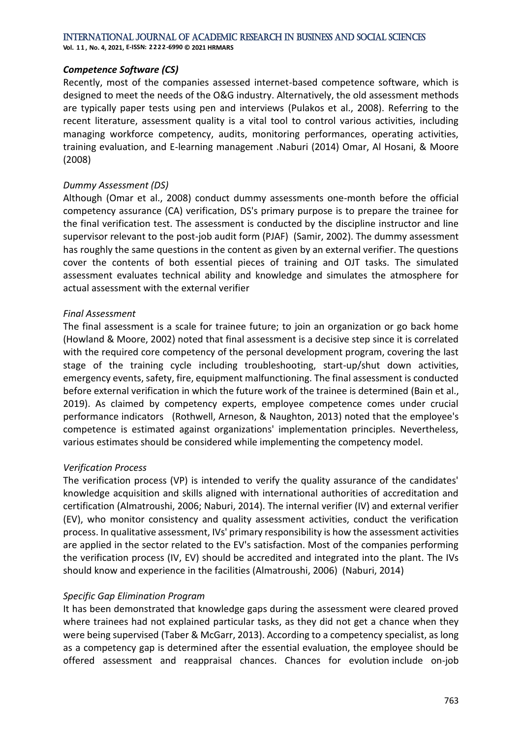**Vol. 1 1 , No. 4, 2021, E-ISSN: 2222-6990 © 2021 HRMARS**

#### *Competence Software (CS)*

Recently, most of the companies assessed internet-based competence software, which is designed to meet the needs of the O&G industry. Alternatively, the old assessment methods are typically paper tests using pen and interviews [\(Pulakos et al., 2008\)](#page-18-11). Referring to the recent literature, assessment quality is a vital tool to control various activities, including managing workforce competency, audits, monitoring performances, operating activities, training evaluation, and E-learning management [.Naburi](#page-18-4) (2014) [Omar, Al Hosani, & Moore](#page-18-16) [\(2008\)](#page-18-16)

#### *Dummy Assessment (DS)*

Although [\(Omar et al., 2008\)](#page-18-16) conduct dummy assessments one-month before the official competency assurance (CA) verification, DS's primary purpose is to prepare the trainee for the final verification test. The assessment is conducted by the discipline instructor and line supervisor relevant to the post-job audit form (PJAF) (Samir, 2002). The dummy assessment has roughly the same questions in the content as given by an external verifier. The questions cover the contents of both essential pieces of training and OJT tasks. The simulated assessment evaluates technical ability and knowledge and simulates the atmosphere for actual assessment with the external verifier

#### *Final Assessment*

The final assessment is a scale for trainee future; to join an organization or go back home [\(Howland & Moore, 2002\)](#page-17-15) noted that final assessment is a decisive step since it is correlated with the required core competency of the personal development program, covering the last stage of the training cycle including troubleshooting, start-up/shut down activities, emergency events, safety, fire, equipment malfunctioning. The final assessment is conducted before external verification in which the future work of the trainee is determined (Bain [et al.,](#page-16-17)  [2019\)](#page-16-17). As claimed by competency experts, employee competence comes under crucial performance indicators [\(Rothwell, Arneson, & Naughton, 2013\)](#page-18-17) noted that the employee's competence is estimated against organizations' implementation principles. Nevertheless, various estimates should be considered while implementing the competency model.

#### *Verification Process*

The verification process (VP) is intended to verify the quality assurance of the candidates' knowledge acquisition and skills aligned with international authorities of accreditation and certification [\(Almatroushi, 2006;](#page-16-3) [Naburi, 2014\)](#page-18-4). The internal verifier (IV) and external verifier (EV), who monitor consistency and quality assessment activities, conduct the verification process. In qualitative assessment, IVs' primary responsibility is how the assessment activities are applied in the sector related to the EV's satisfaction. Most of the companies performing the verification process (IV, EV) should be accredited and integrated into the plant. The IVs should know and experience in the facilities [\(Almatroushi, 2006\)](#page-16-3) [\(Naburi, 2014\)](#page-18-4)

# *Specific Gap Elimination Program*

It has been demonstrated that knowledge gaps during the assessment were cleared proved where trainees had not explained particular tasks, as they did not get a chance when they were being supervised [\(Taber & McGarr, 2013\)](#page-19-17). According to a competency specialist, as long as a competency gap is determined after the essential evaluation, the employee should be offered assessment and reappraisal chances. Chances for evolution include on-job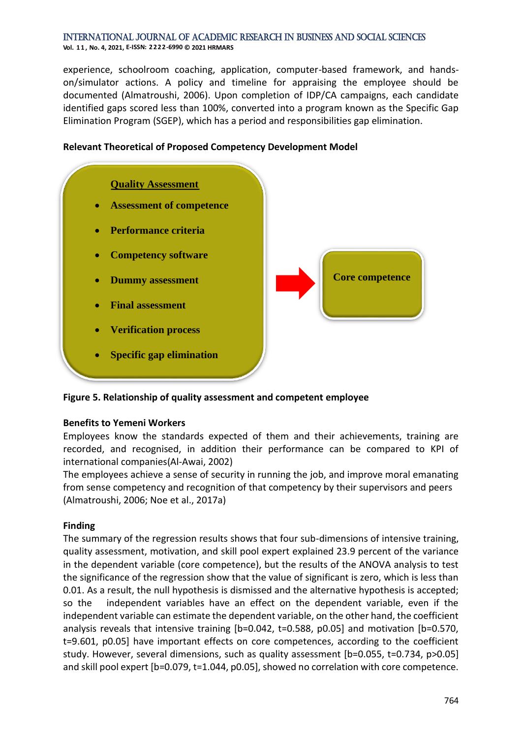experience, schoolroom coaching, application, computer-based framework, and handson/simulator actions. A policy and timeline for appraising the employee should be documented [\(Almatroushi, 2006\)](#page-16-3). Upon completion of IDP/CA campaigns, each candidate identified gaps scored less than 100%, converted into a program known as the Specific Gap Elimination Program (SGEP), which has a period and responsibilities gap elimination.



### **Relevant Theoretical of Proposed Competency Development Model**

**Figure 5. Relationship of quality assessment and competent employee**

# **Benefits to Yemeni Workers**

Employees know the standards expected of them and their achievements, training are recorded, and recognised, in addition their performance can be compared to KPI of international companies[\(Al-Awai, 2002\)](#page-15-5)

The employees achieve a sense of security in running the job, and improve moral emanating from sense competency and recognition of that competency by their supervisors and peers [\(Almatroushi, 2006;](#page-16-3) Noe [et al., 2017a\)](#page-18-18)

# **Finding**

The summary of the regression results shows that four sub-dimensions of intensive training, quality assessment, motivation, and skill pool expert explained 23.9 percent of the variance in the dependent variable (core competence), but the results of the ANOVA analysis to test the significance of the regression show that the value of significant is zero, which is less than 0.01. As a result, the null hypothesis is dismissed and the alternative hypothesis is accepted; so the independent variables have an effect on the dependent variable, even if the independent variable can estimate the dependent variable, on the other hand, the coefficient analysis reveals that intensive training [b=0.042, t=0.588, p0.05] and motivation [b=0.570, t=9.601, p0.05] have important effects on core competences, according to the coefficient study. However, several dimensions, such as quality assessment [b=0.055, t=0.734, p>0.05] and skill pool expert [b=0.079, t=1.044, p0.05], showed no correlation with core competence.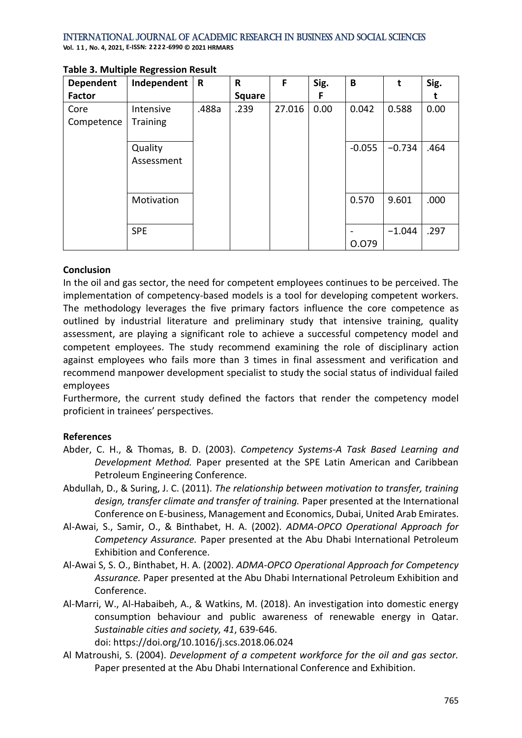| <b>Dependent</b>   | Independent                  | $\mathbf R$ | $\mathsf{R}$  | F      | Sig. | B        | t        | Sig. |
|--------------------|------------------------------|-------------|---------------|--------|------|----------|----------|------|
| <b>Factor</b>      |                              |             | <b>Square</b> |        | F    |          |          |      |
| Core<br>Competence | Intensive<br><b>Training</b> | .488a       | .239          | 27.016 | 0.00 | 0.042    | 0.588    | 0.00 |
|                    | Quality<br>Assessment        |             |               |        |      | $-0.055$ | $-0.734$ | .464 |
|                    | Motivation                   |             |               |        |      | 0.570    | 9.601    | .000 |
|                    | <b>SPE</b>                   |             |               |        |      | 0.079    | $-1.044$ | .297 |

#### **Table 3. Multiple Regression Result**

### **Conclusion**

In the oil and gas sector, the need for competent employees continues to be perceived. The implementation of competency-based models is a tool for developing competent workers. The methodology leverages the five primary factors influence the core competence as outlined by industrial literature and preliminary study that intensive training, quality assessment, are playing a significant role to achieve a successful competency model and competent employees. The study recommend examining the role of disciplinary action against employees who fails more than 3 times in final assessment and verification and recommend manpower development specialist to study the social status of individual failed employees

Furthermore, the current study defined the factors that render the competency model proficient in trainees' perspectives.

#### **References**

- <span id="page-15-2"></span>Abder, C. H., & Thomas, B. D. (2003). *Competency Systems-A Task Based Learning and Development Method.* Paper presented at the SPE Latin American and Caribbean Petroleum Engineering Conference.
- <span id="page-15-3"></span>Abdullah, D., & Suring, J. C. (2011). *The relationship between motivation to transfer, training design, transfer climate and transfer of training.* Paper presented at the International Conference on E-business, Management and Economics, Dubai, United Arab Emirates.
- <span id="page-15-1"></span>Al-Awai, S., Samir, O., & Binthabet, H. A. (2002). *ADMA-OPCO Operational Approach for Competency Assurance.* Paper presented at the Abu Dhabi International Petroleum Exhibition and Conference.
- <span id="page-15-5"></span>Al-Awai S, S. O., Binthabet, H. A. (2002). *ADMA-OPCO Operational Approach for Competency Assurance.* Paper presented at the Abu Dhabi International Petroleum Exhibition and Conference.
- <span id="page-15-0"></span>Al-Marri, W., Al-Habaibeh, A., & Watkins, M. (2018). An investigation into domestic energy consumption behaviour and public awareness of renewable energy in Qatar. *Sustainable cities and society, 41*, 639-646.

doi: https://doi.org/10.1016/j.scs.2018.06.024

<span id="page-15-4"></span>Al Matroushi, S. (2004). *Development of a competent workforce for the oil and gas sector.* Paper presented at the Abu Dhabi International Conference and Exhibition.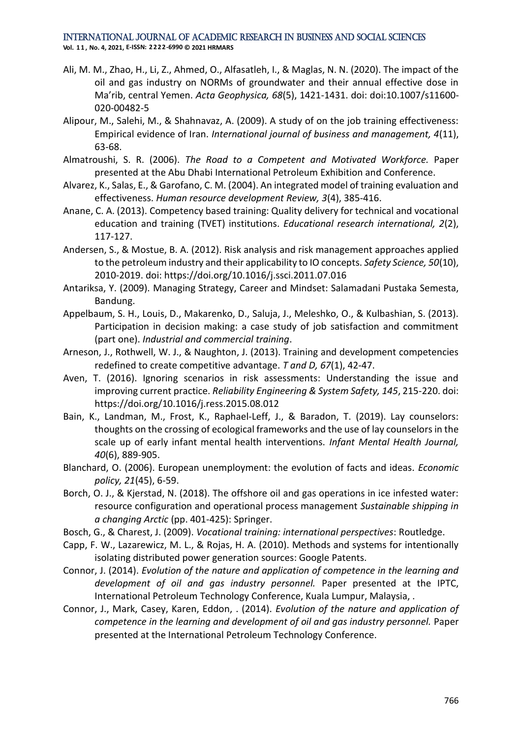**Vol. 1 1 , No. 4, 2021, E-ISSN: 2222-6990 © 2021 HRMARS**

- <span id="page-16-2"></span>Ali, M. M., Zhao, H., Li, Z., Ahmed, O., Alfasatleh, I., & Maglas, N. N. (2020). The impact of the oil and gas industry on NORMs of groundwater and their annual effective dose in Ma'rib, central Yemen. *Acta Geophysica, 68*(5), 1421-1431. doi: doi:10.1007/s11600- 020-00482-5
- <span id="page-16-14"></span>Alipour, M., Salehi, M., & Shahnavaz, A. (2009). A study of on the job training effectiveness: Empirical evidence of Iran. *International journal of business and management, 4*(11), 63-68.
- <span id="page-16-3"></span>Almatroushi, S. R. (2006). *The Road to a Competent and Motivated Workforce.* Paper presented at the Abu Dhabi International Petroleum Exhibition and Conference.
- <span id="page-16-12"></span>Alvarez, K., Salas, E., & Garofano, C. M. (2004). An integrated model of training evaluation and effectiveness. *Human resource development Review, 3*(4), 385-416.
- <span id="page-16-13"></span>Anane, C. A. (2013). Competency based training: Quality delivery for technical and vocational education and training (TVET) institutions. *Educational research international, 2*(2), 117-127.
- <span id="page-16-8"></span>Andersen, S., & Mostue, B. A. (2012). Risk analysis and risk management approaches applied to the petroleum industry and their applicability to IO concepts. *Safety Science, 50*(10), 2010-2019. doi: https://doi.org/10.1016/j.ssci.2011.07.016
- <span id="page-16-7"></span>Antariksa, Y. (2009). Managing Strategy, Career and Mindset: Salamadani Pustaka Semesta, Bandung.
- <span id="page-16-15"></span>Appelbaum, S. H., Louis, D., Makarenko, D., Saluja, J., Meleshko, O., & Kulbashian, S. (2013). Participation in decision making: a case study of job satisfaction and commitment (part one). *Industrial and commercial training*.
- <span id="page-16-10"></span>Arneson, J., Rothwell, W. J., & Naughton, J. (2013). Training and development competencies redefined to create competitive advantage. *T and D, 67*(1), 42-47.
- <span id="page-16-1"></span>Aven, T. (2016). Ignoring scenarios in risk assessments: Understanding the issue and improving current practice. *Reliability Engineering & System Safety, 145*, 215-220. doi: https://doi.org/10.1016/j.ress.2015.08.012
- <span id="page-16-17"></span>Bain, K., Landman, M., Frost, K., Raphael-Leff, J., & Baradon, T. (2019). Lay counselors: thoughts on the crossing of ecological frameworks and the use of lay counselors in the scale up of early infant mental health interventions. *Infant Mental Health Journal, 40*(6), 889-905.
- <span id="page-16-6"></span>Blanchard, O. (2006). European unemployment: the evolution of facts and ideas. *Economic policy, 21*(45), 6-59.
- <span id="page-16-16"></span>Borch, O. J., & Kjerstad, N. (2018). The offshore oil and gas operations in ice infested water: resource configuration and operational process management *Sustainable shipping in a changing Arctic* (pp. 401-425): Springer.
- <span id="page-16-11"></span>Bosch, G., & Charest, J. (2009). *Vocational training: international perspectives*: Routledge.
- <span id="page-16-5"></span>Capp, F. W., Lazarewicz, M. L., & Rojas, H. A. (2010). Methods and systems for intentionally isolating distributed power generation sources: Google Patents.
- <span id="page-16-4"></span>Connor, J. (2014). *Evolution of the nature and application of competence in the learning and development of oil and gas industry personnel.* Paper presented at the IPTC, International Petroleum Technology Conference, Kuala Lumpur, Malaysia, .
- <span id="page-16-9"></span><span id="page-16-0"></span>Connor, J., Mark, Casey, Karen, Eddon, . (2014). *Evolution of the nature and application of competence in the learning and development of oil and gas industry personnel.* Paper presented at the International Petroleum Technology Conference.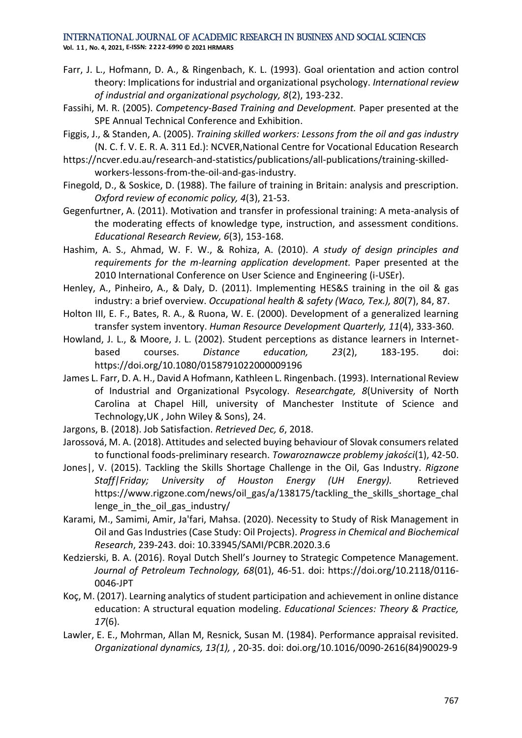**Vol. 1 1 , No. 4, 2021, E-ISSN: 2222-6990 © 2021 HRMARS**

- Farr, J. L., Hofmann, D. A., & Ringenbach, K. L. (1993). Goal orientation and action control theory: Implications for industrial and organizational psychology. *International review of industrial and organizational psychology, 8*(2), 193-232.
- <span id="page-17-4"></span>Fassihi, M. R. (2005). *Competency-Based Training and Development.* Paper presented at the SPE Annual Technical Conference and Exhibition.
- <span id="page-17-3"></span>Figgis, J., & Standen, A. (2005). *Training skilled workers: Lessons from the oil and gas industry* (N. C. f. V. E. R. A. 311 Ed.): NCVER,National Centre for Vocational Education Research
- https://ncver.edu.au/research-and-statistics/publications/all-publications/training-skilledworkers-lessons-from-the-oil-and-gas-industry.
- <span id="page-17-5"></span>Finegold, D., & Soskice, D. (1988). The failure of training in Britain: analysis and prescription. *Oxford review of economic policy, 4*(3), 21-53.
- <span id="page-17-10"></span>Gegenfurtner, A. (2011). Motivation and transfer in professional training: A meta-analysis of the moderating effects of knowledge type, instruction, and assessment conditions. *Educational Research Review, 6*(3), 153-168.
- <span id="page-17-2"></span>Hashim, A. S., Ahmad, W. F. W., & Rohiza, A. (2010). *A study of design principles and requirements for the m-learning application development.* Paper presented at the 2010 International Conference on User Science and Engineering (i-USEr).
- <span id="page-17-8"></span>Henley, A., Pinheiro, A., & Daly, D. (2011). Implementing HES&S training in the oil & gas industry: a brief overview. *Occupational health & safety (Waco, Tex.), 80*(7), 84, 87.
- <span id="page-17-9"></span>Holton III, E. F., Bates, R. A., & Ruona, W. E. (2000). Development of a generalized learning transfer system inventory. *Human Resource Development Quarterly, 11*(4), 333-360.
- <span id="page-17-15"></span>Howland, J. L., & Moore, J. L. (2002). Student perceptions as distance learners in Internetbased courses. *Distance education, 23*(2), 183-195. doi: https://doi.org/10.1080/0158791022000009196
- <span id="page-17-12"></span>James L. Farr, D. A. H., David A Hofmann, Kathleen L. Ringenbach. (1993). International Review of Industrial and Organizational Psycology. *Researchgate, 8*(University of North Carolina at Chapel Hill, university of Manchester Institute of Science and Technology,UK , John Wiley & Sons), 24.
- <span id="page-17-11"></span>Jargons, B. (2018). Job Satisfaction. *Retrieved Dec, 6*, 2018.
- <span id="page-17-7"></span>Jarossová, M. A. (2018). Attitudes and selected buying behaviour of Slovak consumers related to functional foods-preliminary research. *Towaroznawcze problemy jakości*(1), 42-50.
- <span id="page-17-0"></span>Jones|, V. (2015). Tackling the Skills Shortage Challenge in the Oil, Gas Industry. *Rigzone Staff|Friday; University of Houston Energy (UH Energy).* Retrieved https://www.rigzone.com/news/oil\_gas/a/138175/tackling\_the\_skills\_shortage\_chal lenge in the oil gas industry/
- <span id="page-17-14"></span>Karami, M., Samimi, Amir, Ja'fari, Mahsa. (2020). Necessity to Study of Risk Management in Oil and Gas Industries (Case Study: Oil Projects). *Progress in Chemical and Biochemical Research*, 239-243. doi: 10.33945/SAMI/PCBR.2020.3.6
- <span id="page-17-1"></span>Kedzierski, B. A. (2016). Royal Dutch Shell's Journey to Strategic Competence Management. *Journal of Petroleum Technology, 68*(01), 46-51. doi: https://doi.org/10.2118/0116- 0046-JPT
- <span id="page-17-6"></span>Koç, M. (2017). Learning analytics of student participation and achievement in online distance education: A structural equation modeling. *Educational Sciences: Theory & Practice, 17*(6).
- <span id="page-17-13"></span>Lawler, E. E., Mohrman, Allan M, Resnick, Susan M. (1984). Performance appraisal revisited. *Organizational dynamics, 13(1),* , 20-35. doi: doi.org/10.1016/0090-2616(84)90029-9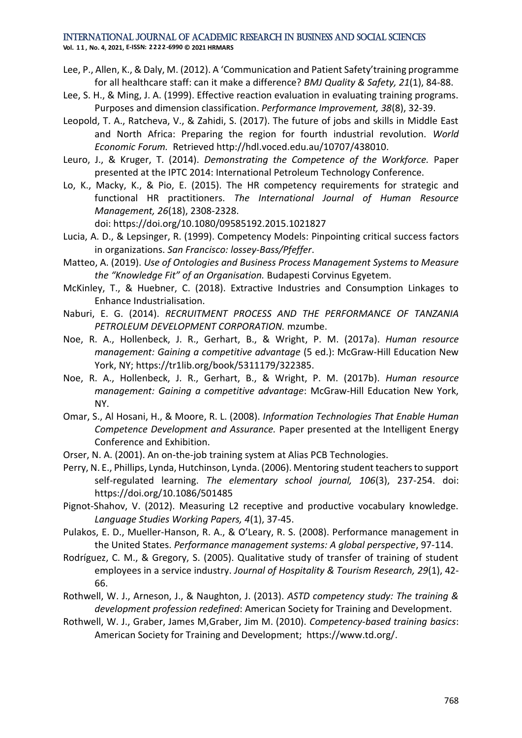**Vol. 1 1 , No. 4, 2021, E-ISSN: 2222-6990 © 2021 HRMARS**

- <span id="page-18-3"></span>Lee, P., Allen, K., & Daly, M. (2012). A 'Communication and Patient Safety'training programme for all healthcare staff: can it make a difference? *BMJ Quality & Safety, 21*(1), 84-88.
- <span id="page-18-7"></span>Lee, S. H., & Ming, J. A. (1999). Effective reaction evaluation in evaluating training programs. Purposes and dimension classification. *Performance Improvement, 38*(8), 32-39.
- <span id="page-18-0"></span>Leopold, T. A., Ratcheva, V., & Zahidi, S. (2017). The future of jobs and skills in Middle East and North Africa: Preparing the region for fourth industrial revolution. *World Economic Forum.* Retrieved http://hdl.voced.edu.au/10707/438010.
- <span id="page-18-14"></span>Leuro, J., & Kruger, T. (2014). *Demonstrating the Competence of the Workforce.* Paper presented at the IPTC 2014: International Petroleum Technology Conference.
- <span id="page-18-15"></span>Lo, K., Macky, K., & Pio, E. (2015). The HR competency requirements for strategic and functional HR practitioners. *The International Journal of Human Resource Management, 26*(18), 2308-2328.

doi: https://doi.org/10.1080/09585192.2015.1021827

- <span id="page-18-6"></span>Lucia, A. D., & Lepsinger, R. (1999). Competency Models: Pinpointing critical success factors in organizations. *San Francisco: lossey-Bass/Pfeffer*.
- <span id="page-18-1"></span>Matteo, A. (2019). *Use of Ontologies and Business Process Management Systems to Measure the "Knowledge Fit" of an Organisation.* Budapesti Corvinus Egyetem.
- <span id="page-18-2"></span>McKinley, T., & Huebner, C. (2018). Extractive Industries and Consumption Linkages to Enhance Industrialisation.
- <span id="page-18-4"></span>Naburi, E. G. (2014). *RECRUITMENT PROCESS AND THE PERFORMANCE OF TANZANIA PETROLEUM DEVELOPMENT CORPORATION.* mzumbe.
- <span id="page-18-18"></span>Noe, R. A., Hollenbeck, J. R., Gerhart, B., & Wright, P. M. (2017a). *Human resource management: Gaining a competitive advantage* (5 ed.): McGraw-Hill Education New York, NY; https://tr1lib.org/book/5311179/322385.
- <span id="page-18-9"></span>Noe, R. A., Hollenbeck, J. R., Gerhart, B., & Wright, P. M. (2017b). *Human resource management: Gaining a competitive advantage*: McGraw-Hill Education New York, NY.
- <span id="page-18-16"></span>Omar, S., Al Hosani, H., & Moore, R. L. (2008). *Information Technologies That Enable Human Competence Development and Assurance.* Paper presented at the Intelligent Energy Conference and Exhibition.
- <span id="page-18-10"></span>Orser, N. A. (2001). An on-the-job training system at Alias PCB Technologies.
- <span id="page-18-13"></span>Perry, N. E., Phillips, Lynda, Hutchinson, Lynda. (2006). Mentoring student teachers to support self-regulated learning. *The elementary school journal, 106*(3), 237-254. doi: https://doi.org/10.1086/501485
- <span id="page-18-12"></span>Pignot-Shahov, V. (2012). Measuring L2 receptive and productive vocabulary knowledge. *Language Studies Working Papers, 4*(1), 37-45.
- <span id="page-18-11"></span>Pulakos, E. D., Mueller-Hanson, R. A., & O'Leary, R. S. (2008). Performance management in the United States. *Performance management systems: A global perspective*, 97-114.
- <span id="page-18-8"></span>Rodríguez, C. M., & Gregory, S. (2005). Qualitative study of transfer of training of student employees in a service industry. *Journal of Hospitality & Tourism Research, 29*(1), 42- 66.
- <span id="page-18-17"></span>Rothwell, W. J., Arneson, J., & Naughton, J. (2013). *ASTD competency study: The training & development profession redefined*: American Society for Training and Development.
- <span id="page-18-5"></span>Rothwell, W. J., Graber, James M,Graber, Jim M. (2010). *Competency-based training basics*: American Society for Training and Development; https://www.td.org/.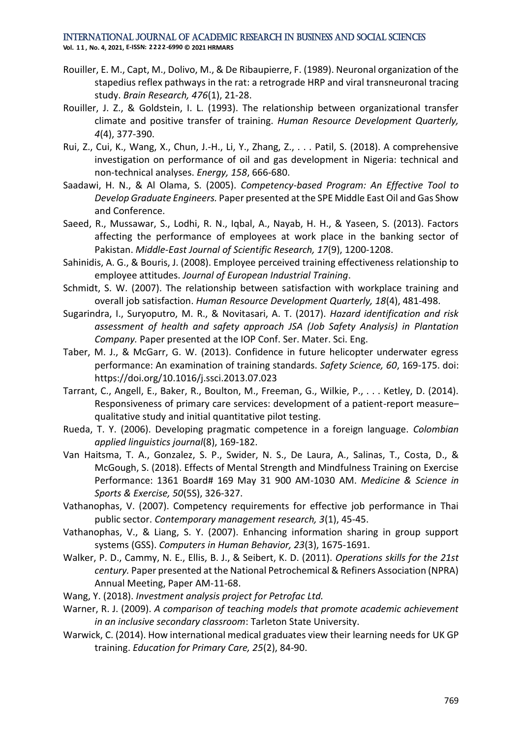**Vol. 1 1 , No. 4, 2021, E-ISSN: 2222-6990 © 2021 HRMARS**

- <span id="page-19-11"></span>Rouiller, E. M., Capt, M., Dolivo, M., & De Ribaupierre, F. (1989). Neuronal organization of the stapedius reflex pathways in the rat: a retrograde HRP and viral transneuronal tracing study. *Brain Research, 476*(1), 21-28.
- <span id="page-19-12"></span>Rouiller, J. Z., & Goldstein, I. L. (1993). The relationship between organizational transfer climate and positive transfer of training. *Human Resource Development Quarterly, 4*(4), 377-390.
- <span id="page-19-2"></span>Rui, Z., Cui, K., Wang, X., Chun, J.-H., Li, Y., Zhang, Z., . . . Patil, S. (2018). A comprehensive investigation on performance of oil and gas development in Nigeria: technical and non-technical analyses. *Energy, 158*, 666-680.
- <span id="page-19-9"></span>Saadawi, H. N., & Al Olama, S. (2005). *Competency-based Program: An Effective Tool to Develop Graduate Engineers.* Paper presented at the SPE Middle East Oil and Gas Show and Conference.
- <span id="page-19-13"></span>Saeed, R., Mussawar, S., Lodhi, R. N., Iqbal, A., Nayab, H. H., & Yaseen, S. (2013). Factors affecting the performance of employees at work place in the banking sector of Pakistan. *Middle-East Journal of Scientific Research, 17*(9), 1200-1208.
- <span id="page-19-3"></span>Sahinidis, A. G., & Bouris, J. (2008). Employee perceived training effectiveness relationship to employee attitudes. *Journal of European Industrial Training*.
- <span id="page-19-5"></span>Schmidt, S. W. (2007). The relationship between satisfaction with workplace training and overall job satisfaction. *Human Resource Development Quarterly, 18*(4), 481-498.
- <span id="page-19-1"></span>Sugarindra, I., Suryoputro, M. R., & Novitasari, A. T. (2017). *Hazard identification and risk assessment of health and safety approach JSA (Job Safety Analysis) in Plantation Company.* Paper presented at the IOP Conf. Ser. Mater. Sci. Eng.
- <span id="page-19-17"></span>Taber, M. J., & McGarr, G. W. (2013). Confidence in future helicopter underwater egress performance: An examination of training standards. *Safety Science, 60*, 169-175. doi: https://doi.org/10.1016/j.ssci.2013.07.023
- <span id="page-19-10"></span>Tarrant, C., Angell, E., Baker, R., Boulton, M., Freeman, G., Wilkie, P., . . . Ketley, D. (2014). Responsiveness of primary care services: development of a patient-report measure– qualitative study and initial quantitative pilot testing.
- <span id="page-19-4"></span>Rueda, T. Y. (2006). Developing pragmatic competence in a foreign language. *Colombian applied linguistics journal*(8), 169-182.
- <span id="page-19-14"></span>Van Haitsma, T. A., Gonzalez, S. P., Swider, N. S., De Laura, A., Salinas, T., Costa, D., & McGough, S. (2018). Effects of Mental Strength and Mindfulness Training on Exercise Performance: 1361 Board# 169 May 31 900 AM-1030 AM. *Medicine & Science in Sports & Exercise, 50*(5S), 326-327.
- <span id="page-19-6"></span>Vathanophas, V. (2007). Competency requirements for effective job performance in Thai public sector. *Contemporary management research, 3*(1), 45-45.
- <span id="page-19-8"></span>Vathanophas, V., & Liang, S. Y. (2007). Enhancing information sharing in group support systems (GSS). *Computers in Human Behavior, 23*(3), 1675-1691.
- <span id="page-19-0"></span>Walker, P. D., Cammy, N. E., Ellis, B. J., & Seibert, K. D. (2011). *Operations skills for the 21st century.* Paper presented at the National Petrochemical & Refiners Association (NPRA) Annual Meeting, Paper AM-11-68.
- <span id="page-19-7"></span>Wang, Y. (2018). *Investment analysis project for Petrofac Ltd.*
- <span id="page-19-16"></span>Warner, R. J. (2009). *A comparison of teaching models that promote academic achievement in an inclusive secondary classroom*: Tarleton State University.
- <span id="page-19-15"></span>Warwick, C. (2014). How international medical graduates view their learning needs for UK GP training. *Education for Primary Care, 25*(2), 84-90.